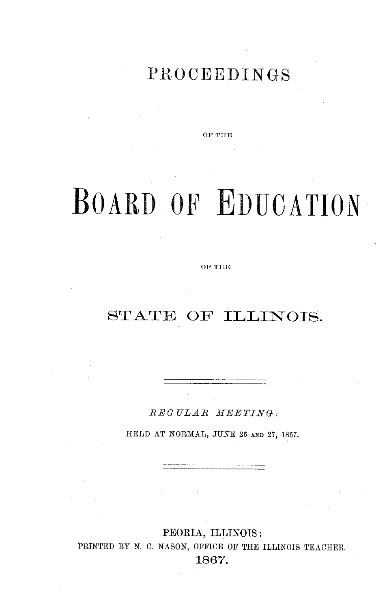## PROCEEDINGS

**OF THE**

# **BOARD OF EDUCATION**

OF **THE**

## STATE OF ILLINOIS.

*REG UL AR MEETING:*

HELD AT NORMAL, JUNE 26 AND 27, 1867.

PEORIA, ILLINOIS: PRINTED BY N. C. NASON, OFFICE OF THE ILLINOIS TEACHER. 1867.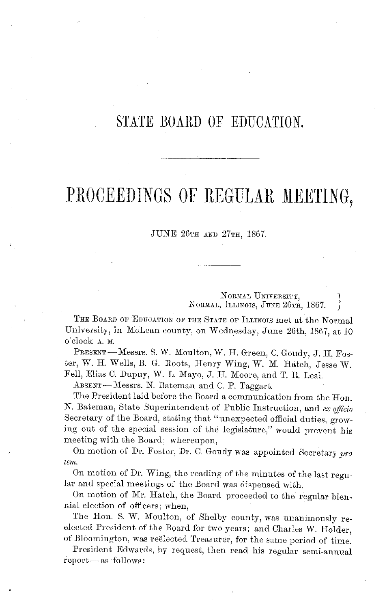### STATE BOARD OF EDUCATION.

## PROCEEDINGS OF REGULAR MEETING,

JUNE 26TH AND 27TH, 1867,

NORMAL UNIVERSITY, *NORMAL,* ILLINOIS, JUNE 26TH, 1867.

THE BOARD OF EDUCATION OF THE STATE OF ILLINOIS met at the Normal University, in McLean county, on Wednesday, June 26th, 1867, at 10 o'clock A. M.

PRESENT - Messrs. S. W. Moulton, W. H. Green, C. Goudy, J. H. Foster, W. H. Wells, B. G. Roots, Henry Wing, W. M. Hatch, Jesse W. Fell, Elias C. Dupuy, W. L. Mayo, J. H. Moore, and T. R. Leal.

ABSENT-Messrs. N. Bateman and C. P. Taggart.

The President laid before the Board a communication from the Hon. N. Bateman, State Superintendent of Public Instruction, and *ex officio* Secretary of the Board, stating that "unexpected official duties, growing out of the special session of the legislature," would prevent his meeting with the Board; whereupon,

On motion of Dr. Foster, Dr. C. Goudy was appointed Secretary *pro tern.*

On motion of Dr. Wing, the reading of the minutes of the last regular and special meetings of the Board was dispensed with.

On motion of Mr. Hatch, the Board proceeded to the regular biennial election of officers; when,

The Hon. S. W. Moulton, of Shelby county, was unanimously reelected President of the Board for two years; and Charles W. Holder, of Bloomington, was reelected Treasurer, for the same period of time.

President Edwards, by request, then read his regular semi-annual  $report—as follows:$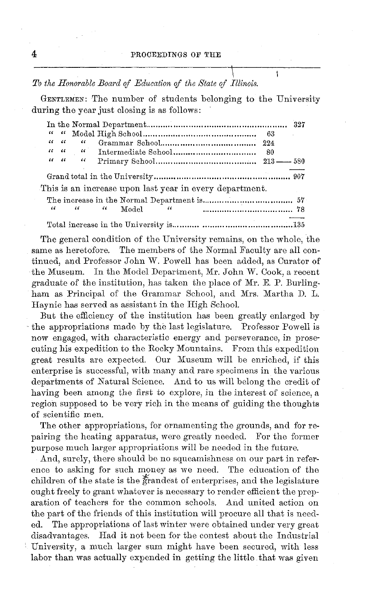$\mathbf{I}$ 

*\. To the Honorable Board of Education of the State of Illinois.*

GENTLEMEN: The number of students belonging to the University during the year just closing is as follows:

|  | $\alpha - \alpha$ | "                                                 |                                                         |  |
|--|-------------------|---------------------------------------------------|---------------------------------------------------------|--|
|  |                   | $\alpha$ , $\alpha$ , $\alpha$ , $\alpha$         |                                                         |  |
|  |                   | $\alpha$ , $\alpha$ , and $\alpha$ , and $\alpha$ |                                                         |  |
|  |                   |                                                   |                                                         |  |
|  |                   |                                                   | This is an increase upon last year in every department. |  |
|  |                   |                                                   |                                                         |  |
|  |                   | $\alpha = \alpha = \alpha$                        | Model<br>$\sim$                                         |  |
|  |                   |                                                   |                                                         |  |

The general condition of the University remains, on the whole, the same as heretofore. The members of the Normal Faculty are all continued, and Professor John W. Powell has been added, as Curator of the Museum. In the Model Department, Mr. John W. Cook, a recent graduate of the institution, has taken the place of Mr. E. P. Burlingham as Principal of the Grammar School, and Mrs. Martha D. L. Haynie has served as assistant in the High School.

But the efficiency of the institution has been greatly enlarged by the appropriations made by the last legislature. Professor Powell is now engaged, with characteristic energy and perseverance, in prosecuting his expedition to the Rocky Mountains. From this expedition great results are expected. Our Museum will be enriched, if this enterprise is successful, with many and rare specimens in the various departments of Natural Science. And to us will belong the credit of having been among the first to explore, in the interest of science, a region supposed to be very rich in the means of guiding the thoughts of scientific men.

The other appropriations, for ornamenting the grounds, and for repairing the heating apparatus, were greatly needed. For the former purpose much larger appropriations will be needed in the future.

And, surely, there should be no squeamishness on our part in reference to asking for such money as we need. The education of the children of the state is the grandest of enterprises, and the legislature ought freely to grant whatever is necessary to render efficient the preparation of teachers for the common schools. And united action on the part of the friends of this institution will procure all that is needed. The appropriations of last winter were obtained under very great disadvantages. Had it not been for the contest about the Industrial University, a much larger sum might have been secured, with less labor than was actually expended in getting the little that was given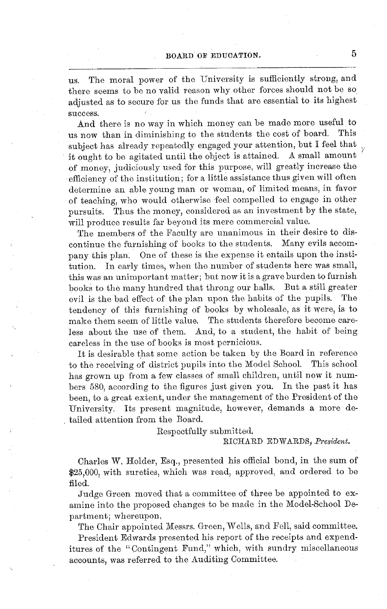us. The moral power of the University is sufficiently strong, and there seems to be no valid reason why other forces should not be so adjusted as to secure for us the funds that are essential to its highest success.

And there is no way in which money can be made more useful to now than in diminishing to the students the cost of board. This us now than in diminishing to the students the cost of board. subject has already repeatedly engaged your attention, but I feel that it ought to be agitated until the object is attained. A small amount of money, judiciously used for this purpose, will greatly increase the efficiency of the institution; for a little assistance thus given will often determine an able young man or woman, of limited means, in favor of teaching, who would otherwise feel compelled to engage in other pursuits. Thus the money, considered as an investment by the state, will produce results far beyond its mere commercial value.

The members of the Faculty are unanimous in their desire to discontinue the furnishing of books to the students. Many evils accompany this plan. One of these is the expense it entails upon the institution. In early times, when the number of students here was small, this was an unimportant matter; but now it is a grave burden to furnish books to the many hundred that throng our halls. But a still greater evil is the bad effect of the plan upon the habits of the pupils. The tendency of this furnishing of books by wholesale, as it were, is to make them seem of little value. The students therefore become careless about the use of them. And, to a student, the habit of being careless in the use of books is most pernicious.

It is desirable that some action be taken by the Board in reference to the receiving of district pupils into the Model School. This school has grown up from a few classes of small children, until now it numbers 580, according to the figures just given you. In the past it has been, to a great extent, under the management of the President of the University. Its present magnitude, however, demands a more detailed attention from the Board.

Respectfully submitted.

#### RICHARD EDWARDS, *President.*

Charles W. Holder, Esq., presented his official bond, in the sum of \$25,000, with sureties, which was read, approved, and ordered to be filed.

Judge Green moved that a committee of three be appointed to examine into the proposed changes to be made in the Model-School Department; whereupon,

The Chair appointed Messrs. Green, Wells, and Fell, said committee.

President Edwards presented his report of the receipts and expenditures of the "Contingent Fund," which, with sundry miscellaneous accounts, was referred to the Auditing Committee.

**5**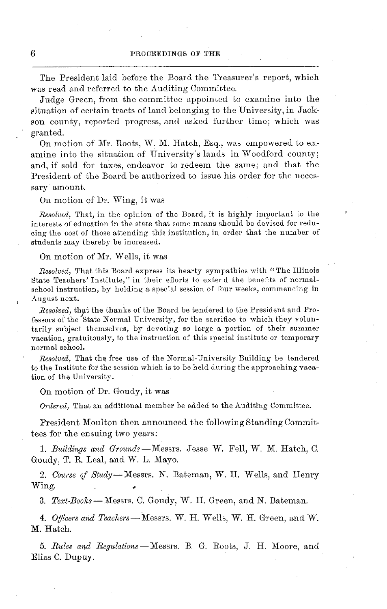The President laid before the Board the Treasurer's report, which was read and referred to the Auditing Committee.

Judge Green, from the committee appointed to examine into the situation of certain tracts of land belonging to the University, in Jackson county, reported progress, and asked further time; which was granted.

On motion of Mr. Roots, W. M. Hatch, Esq., was empowered to examine into the situation of University's lands in Woodford county; and, if sold for taxes, endeavor to redeem the same; and that the President of the Board be authorized to issue his order for the necessary amount.

On motion of Dr. Wing, it was

*Resolved,* That, in the opinion of the Board, it is highly important to the interests of education in the state that some means should be devised for reducing the cost of those attending this institution, in order that the number of students may thereby be increased.

On motion of Mr. Wells, it was

*Resolved,* That this Board express its hearty sympathies with "The Illinois State Teachers' Institute," in their efforts to extend the benefits of normalschool instruction, by holding a special session of four weeks, commencing in August next.

*Resolved,* that the thanks of the Board be tendered to the President and Professors of the State Normal University, for the sacrifice to which they voluntarily subject themselves, by devoting so large a portion of their summer vacation, gratuitously, to the instruction of this special institute or temporary normal school.

*Resolved,* That the free use of the Normal-University Building be tendered to the Institute for the session which is to be held during the approaching vacation of the University.

On motion of Dr. Goudy, it was

*Ordered,* That an additional member be added to the Auditing Committee.

President Moulton then announced the following Standing Committees for the ensuing two years:

*1. Buildings and Grounds-Messrs.* Jesse W. Fell, W. M. Hatch, C. Goudy, T. R. Leal, and W. L. Mayo.

*2. Course of Study- Messrs.* N. Bateman, W. H. Wells, and Henry Wing.

*3. Text-Books--* Messrs. C. Goudy, W. H. Green, and N. Bateman.

*4. Offcers and Teachers-Messrs.* W. H. Wells, W. H. Green, and W. M. Hatch.

*5. Rules and Regulations-Messrs.* B. G. Roots, J. H. Moore, and Elias C. Dupuy.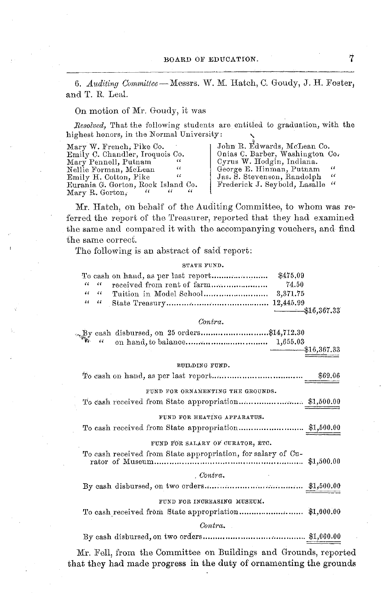*6. Auditing Committee* -Messrs. W. M. Hatch, C. Goudy, J. H. Foster, and T. R. Leal.

#### On motion of Mr. Goudy, it was

*Resolved,* That the following students are entitled to graduation, with the highest honors, in the Normal University: **\**

| Mary W. French, Pike Co.                 | John R. Edwards, McLean Co.               |
|------------------------------------------|-------------------------------------------|
| Emily C. Chandler, Iroquois Co.          | Onias C. Barber, Washington Co.           |
| "<br>Mary Pennell, Putnam                | Cyrus W. Hodgin, Indiana.                 |
| Nellie Forman, McLean<br>33              | George E. Hinman, Putnam<br>44            |
| "<br>Emily H. Cotton, Pike               | $\epsilon$<br>Jas. S. Stevenson, Randolph |
| Eurania G. Gorton, Rock Island Co.       | Frederick J. Seybold, Lasalle "           |
| "<br>46<br>$\epsilon$<br>Mary R. Gorton, |                                           |

Mr. Hatch, on behalf of the Auditing Committee, to whom was referred the report of the Treasurer, reported that they had examined the same and compared it with the accompanying vouchers, and find the same correct.

The following is an abstract of said report:

STATE FUND.

|                   | \$475.09        |
|-------------------|-----------------|
|                   | 74.50           |
| $\alpha - \alpha$ |                 |
|                   |                 |
|                   | $-$ \$16,367.33 |

#### *Contra.*

| Ry cash disbursed, on 25 orders\$14,712.30                   |             |
|--------------------------------------------------------------|-------------|
| 44                                                           |             |
|                                                              | \$16,367.33 |
|                                                              |             |
| BUILDING FUND.                                               |             |
|                                                              | \$69.06     |
|                                                              |             |
| FUND FOR ORNAMENTING THE GROUNDS.                            |             |
|                                                              |             |
|                                                              |             |
| FUND FOR HEATING APPARATUS.                                  |             |
|                                                              |             |
|                                                              |             |
| FUND FOR SALARY OF CURATOR, ETC.                             |             |
| To cash received from State appropriation, for salary of Cu- |             |
|                                                              | \$1,500,00  |
| Contra.                                                      |             |
|                                                              |             |
|                                                              |             |
| FUND FOR INCREASING MUSEUM.                                  |             |
|                                                              |             |
| Contra.                                                      |             |
|                                                              |             |
|                                                              |             |

Mr. Fell, from the Committee on Buildings and Grounds, reported that they had made progress in the duty of ornamenting the grounds

7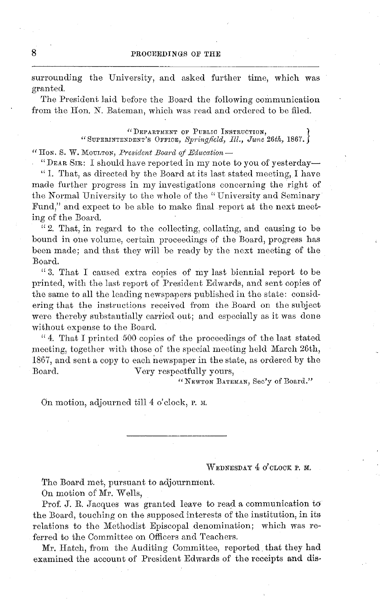surrounding the University, and asked further time, which was granted.

The President laid before the Board the following communication from the Hon. N. Bateman, which was read and ordered to be filed.

> "DEPARTMENT OF PUBLIC INSTRUCTION, " SUPERINTENDENT'S OFFICE, *Springfeld, Ill., June 26th,* 1867. j

"tHON. S. W. MOULTON, *President Board of Education-*

"DEAR SIR: I should have reported in my note to you of yesterday-1. That, as directed by the Board at its last stated meeting, I have made further progress in my investigations concerning the right of the Normal University to the whole of the " University and Seminary Fund," and expect to be able to make final report at the next meeting of the Board.

"2. That, in regard to the collecting, collating, and causing to be bound in one volume, certain proceedings of the Board, progress has been made; and that they will be ready by the next meeting of the Board.

" 3. That I caused extra copies of my last biennial report to be printed, with the last report of President Edwards, and sent copies of the same to all the leading newspapers published in the state: considering that the instructions received from the Board on the subject were thereby substantially carried out; and especially as it was done without expense to the Board.

"4. That I printed 500 copies of the proceedings of the last stated meeting, together with those of the special meeting held March 26th, 1867, and sent a copy to each newspaper in the state, as ordered by the Board. Very respectfully yours,

" NEWTON BATEMAN, Sec'y of Board."

On motion, adjourned till 4 o'clock, p. M.

WEDNESDAY 4 O'CLOCK P. **M.**

The Board met, pursuant to adjournment.

On motion of Mr. Wells,

Prof. J. R. Jacques was granted leave to read a communication to the Board, touching on the supposed interests of the institution, in its relations to the Methodist Episcopal denomination; which was referred to the Committee on Officers and Teachers.

Mr. Hatch, from the Auditing Committee, reported that they had examined the account of President Edwards of the receipts and dis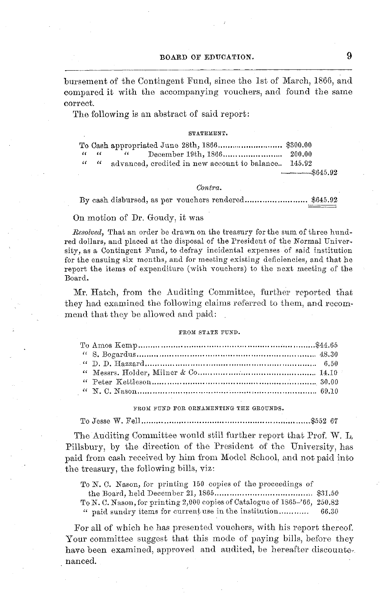bursement of the Contingent Fund, since the 1st of March, 1866, and compared it with the accompanying vouchers, and found the same correct.

The following is an abstract of said report:

#### **SULL ULBER VIOLENCE**

|                                         | $\sim$ 66 $-$                                        |              |
|-----------------------------------------|------------------------------------------------------|--------------|
| $\epsilon \epsilon = \epsilon \epsilon$ | advanced, credited in new account to balance. 145.92 |              |
|                                         |                                                      | $   8645.92$ |

#### Contra.

By cash disbursed, as per vouchers rendered.............  $8645.92$ 

#### On motion of Dr. Goudy, it was

Resolved, That an order be drawn on the treasury for the sum of three hundred dollars, and placed at the disposal of the President of the Normal University, as a Contingent Fund, to defray incidental expenses of said institution for the ensuing six months, and for meeting existing deficiencies, and that he report the items of expenditure (with youchers) to the next meeting of the Board.

Mr. Hatch, from the Auditing Committee, further reported that they had examined the following claims referred to them, and recommend that they be allowed and paid:

#### FROM STATE FUND.

FROM FUND FOR ORNAMENTING THE GROUNDS.

 $\ldots \ldots \ldots$ \$552 67

The Auditing Committee would still further report that Prof. W. L. Pillsbury, by the direction of the President of the University, has paid from eash received by him from Model School, and not paid into the treasury, the following bills, yiz:

To N. C. Nason, for printing 150 copies of the proceedings of

To N. C. Nason, for printing 2,000 copies of Catalogue of 1865-'66, 250.82

" paid sundry items for current use in the institution........... 66.30

For all of which he has presented vouchers, with his report thereof. Your committee suggest that this mode of paying bills, before they have been examined, approved and audited, be hereafter discounter nanced.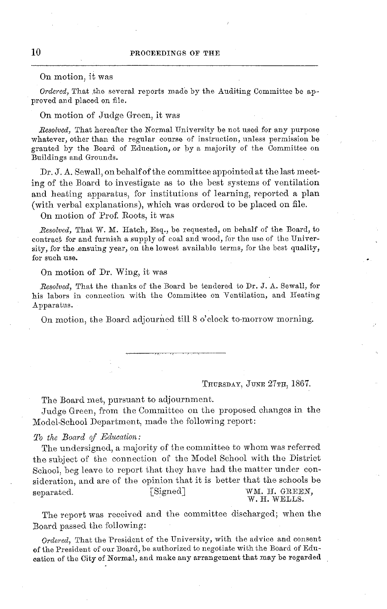#### On motion, it was

*Ordered,* That the several reports made by the Auditing Committee be approved and placed on file.

#### On motion of Judge Green, it was

*Resolved,* That hereafter the Normal University be not used for any purpose whatever, other than the regular course of instruction, unless permission be granted by the Board of Education, or by a majority of the Committee on Buildings and Grounds.

Dr. J. A. Sewall, on behalf of the committee appointed at the last meeting of the Board to investigate as to the best systems of ventilation and heating apparatus, for institutions of learning, reported a plan (with verbal explanations), which was ordered to be placed on file.

On motion of Prof. Roots, it was

*Resolved,* That W. M. Hatch, Esq., be requested, on behalf of the Board, to contract for and furnish a supply of coal and wood, for the use of the University, for the .ensuing year, on the lowest available terms, for the best quality, for such use.

#### On motion of Dr. Wing, it was

*Resolved,* That the thanks of the Board be tendered to Dr. J. A. Sewall, for his labors in connection with the Committee on Ventilation, and Heating Apparatus.

On motion, the Board adjourned till 8 o'clock to-morrow morning.

THURSDAY, JUNE 27TH, 1867.

The Board met, pursuant to adjournment.

Judge Green, from the Committee on the proposed changes in the Model-School Department, made the following report:

#### *To the Board of Education:*

The undersigned, a majority of the committee to whom was referred the subject of the connection of the Model School with the District School, beg leave to report that they have had the matter under consideration, and are of the opinion that it is better that the schools be<br>senarated. [Signed] WM. H. GREEN, separated. [Signed] WM. H. GREEN, W. H. WELLS.

The report was received and the committee discharged; when the Board passed the following:

*Ordered,* That the President of the University, with the advice and consent of the President of our Board, be authorized to negotiate with the Board of Education of the City of Normal, and make any arrangement that may be regarded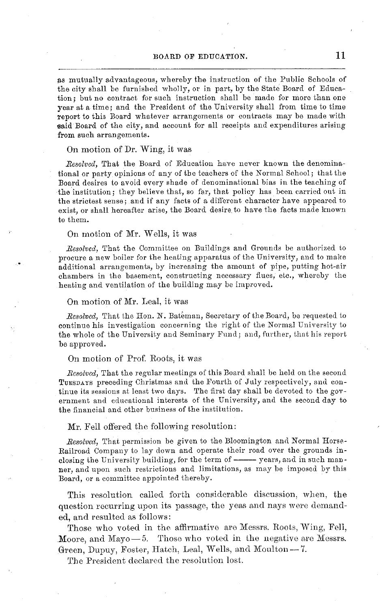#### BOARD OF EDUCATION. 11

as mutually advantageous, whereby the instruction of the Public Schools of the city shall be furnished wholly, or in part, by the State Board of Education; but no contract for such instruction shall be made for more than one year at a time; and the President of the University shall from time to time report to this Board whatever arrangements or contracts may be made with said Board of the city, and account for all receipts and expenditures arising from such arrangements.

#### On motion of Dr. Wing, it was

*Resolved,* That the Board of Education have never known the denominational or party opinions of any of the teachers of the Normal School; that the Board desires to avoid every shade of denominational bias in the teaching of the institution; they believe that, so far, that policy has been carried out in the strictest sense; and if any facts of a different character have appeared to exist, or shall hereafter arise, the Board desire to have the facts made known to them.

#### On motion of Mr. Wells, it was

*Resolved,* That the Committee on Buildings and Grounds be authorized to procure a new boiler for the heating apparatus of the University, and to make additional arrangements, by increasing the amount of pipe, putting hot-air chambers in the basement, constructing necessary flues, etc., whereby the heating and ventilation of the building may be improved.

#### On motion of Mr. Leal, it was

*Resolved*, That the Hon. N. Bateman, Secretary of the Board, be requested to continue his investigation concerning the right of the Normal University to the whole of the University and Seminary Fund; and, further, that his report be approved.

#### On motion of Prof. Roots, it was

*Resolved,* That the regular meetings of this Board shall be held on the second TUESDAYS preceding Christmas and the Fourth of July respectively, and continue its sessions at least two days. The first day shall be devoted to the government and educational interests of the University, and the second day to the financial and other business of the institution.

#### Mr. Fell offered the following resolution:

*Resolved,* That permission be given to the Bloomington and Normal Horse-Railroad Company to lay down and operate their road over the grounds inclosing the University building, for the term of  $\frac{1}{\sqrt{2}}$  years, and in such manner, and upon such restrictions and limitations, as may be imposed by this Board, or a committee appointed thereby.

This resolution called forth considerable discussion, when, the question recurring upon its passage, the yeas and nays were demanded, and resulted as follows:

Those who voted in the affirmative are Messrs. Roots, Wing, Fell, Moore, and Mayo $-5$ . Those who voted in the negative are Messrs. Green, Dupuy, Foster, Hatch, Leal, Wells, and Moulton- 7.

The President declared the resolution lost.